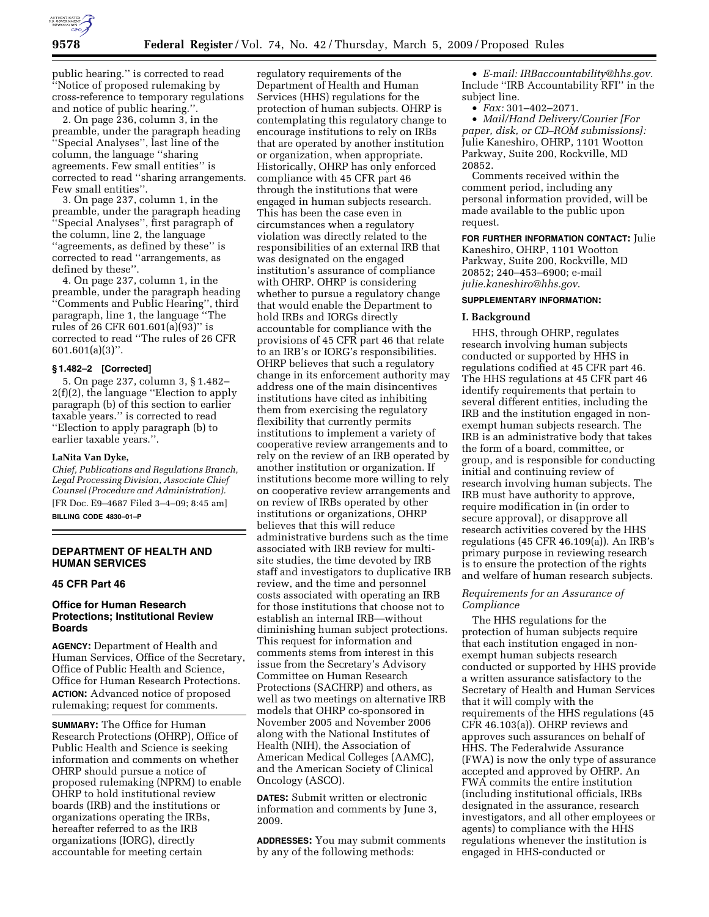

public hearing.'' is corrected to read ''Notice of proposed rulemaking by cross-reference to temporary regulations and notice of public hearing."

2. On page 236, column 3, in the preamble, under the paragraph heading ''Special Analyses'', last line of the column, the language ''sharing agreements. Few small entities'' is corrected to read ''sharing arrangements. Few small entities''.

3. On page 237, column 1, in the preamble, under the paragraph heading ''Special Analyses'', first paragraph of the column, line 2, the language ''agreements, as defined by these'' is corrected to read ''arrangements, as defined by these''.

4. On page 237, column 1, in the preamble, under the paragraph heading ''Comments and Public Hearing'', third paragraph, line 1, the language ''The rules of 26 CFR 601.601(a)(93)'' is corrected to read ''The rules of 26 CFR 601.601(a)(3)''.

### **§ 1.482–2 [Corrected]**

5. On page 237, column 3, § 1.482– 2(f)(2), the language ''Election to apply paragraph (b) of this section to earlier taxable years.'' is corrected to read ''Election to apply paragraph (b) to earlier taxable years.''.

#### **LaNita Van Dyke,**

*Chief, Publications and Regulations Branch, Legal Processing Division, Associate Chief Counsel (Procedure and Administration).*  [FR Doc. E9–4687 Filed 3–4–09; 8:45 am] **BILLING CODE 4830–01–P** 

# **DEPARTMENT OF HEALTH AND HUMAN SERVICES**

## **45 CFR Part 46**

## **Office for Human Research Protections; Institutional Review Boards**

**AGENCY:** Department of Health and Human Services, Office of the Secretary, Office of Public Health and Science, Office for Human Research Protections. **ACTION:** Advanced notice of proposed rulemaking; request for comments.

**SUMMARY:** The Office for Human Research Protections (OHRP), Office of Public Health and Science is seeking information and comments on whether OHRP should pursue a notice of proposed rulemaking (NPRM) to enable OHRP to hold institutional review boards (IRB) and the institutions or organizations operating the IRBs, hereafter referred to as the IRB organizations (IORG), directly accountable for meeting certain

regulatory requirements of the Department of Health and Human Services (HHS) regulations for the protection of human subjects. OHRP is contemplating this regulatory change to encourage institutions to rely on IRBs that are operated by another institution or organization, when appropriate. Historically, OHRP has only enforced compliance with 45 CFR part 46 through the institutions that were engaged in human subjects research. This has been the case even in circumstances when a regulatory violation was directly related to the responsibilities of an external IRB that was designated on the engaged institution's assurance of compliance with OHRP. OHRP is considering whether to pursue a regulatory change that would enable the Department to hold IRBs and IORGs directly accountable for compliance with the provisions of 45 CFR part 46 that relate to an IRB's or IORG's responsibilities. OHRP believes that such a regulatory change in its enforcement authority may address one of the main disincentives institutions have cited as inhibiting them from exercising the regulatory flexibility that currently permits institutions to implement a variety of cooperative review arrangements and to rely on the review of an IRB operated by another institution or organization. If institutions become more willing to rely on cooperative review arrangements and on review of IRBs operated by other institutions or organizations, OHRP believes that this will reduce administrative burdens such as the time associated with IRB review for multisite studies, the time devoted by IRB staff and investigators to duplicative IRB review, and the time and personnel costs associated with operating an IRB for those institutions that choose not to establish an internal IRB—without diminishing human subject protections. This request for information and comments stems from interest in this issue from the Secretary's Advisory Committee on Human Research Protections (SACHRP) and others, as well as two meetings on alternative IRB models that OHRP co-sponsored in November 2005 and November 2006 along with the National Institutes of Health (NIH), the Association of American Medical Colleges (AAMC), and the American Society of Clinical Oncology (ASCO).

**DATES:** Submit written or electronic information and comments by June 3, 2009.

**ADDRESSES:** You may submit comments by any of the following methods:

• *E-mail: IRBaccountability@hhs.gov.*  Include ''IRB Accountability RFI'' in the subject line.

• *Fax:* 301–402–2071.

• *Mail/Hand Delivery/Courier [For paper, disk, or CD–ROM submissions]:*  Julie Kaneshiro, OHRP, 1101 Wootton Parkway, Suite 200, Rockville, MD 20852.

Comments received within the comment period, including any personal information provided, will be made available to the public upon request.

**FOR FURTHER INFORMATION CONTACT:** Julie Kaneshiro, OHRP, 1101 Wootton Parkway, Suite 200, Rockville, MD 20852; 240–453–6900; e-mail *julie.kaneshiro@hhs.gov*.

# **SUPPLEMENTARY INFORMATION:**

#### **I. Background**

HHS, through OHRP, regulates research involving human subjects conducted or supported by HHS in regulations codified at 45 CFR part 46. The HHS regulations at 45 CFR part 46 identify requirements that pertain to several different entities, including the IRB and the institution engaged in nonexempt human subjects research. The IRB is an administrative body that takes the form of a board, committee, or group, and is responsible for conducting initial and continuing review of research involving human subjects. The IRB must have authority to approve, require modification in (in order to secure approval), or disapprove all research activities covered by the HHS regulations (45 CFR 46.109(a)). An IRB's primary purpose in reviewing research is to ensure the protection of the rights and welfare of human research subjects.

# *Requirements for an Assurance of Compliance*

The HHS regulations for the protection of human subjects require that each institution engaged in nonexempt human subjects research conducted or supported by HHS provide a written assurance satisfactory to the Secretary of Health and Human Services that it will comply with the requirements of the HHS regulations (45 CFR 46.103(a)). OHRP reviews and approves such assurances on behalf of HHS. The Federalwide Assurance (FWA) is now the only type of assurance accepted and approved by OHRP. An FWA commits the entire institution (including institutional officials, IRBs designated in the assurance, research investigators, and all other employees or agents) to compliance with the HHS regulations whenever the institution is engaged in HHS-conducted or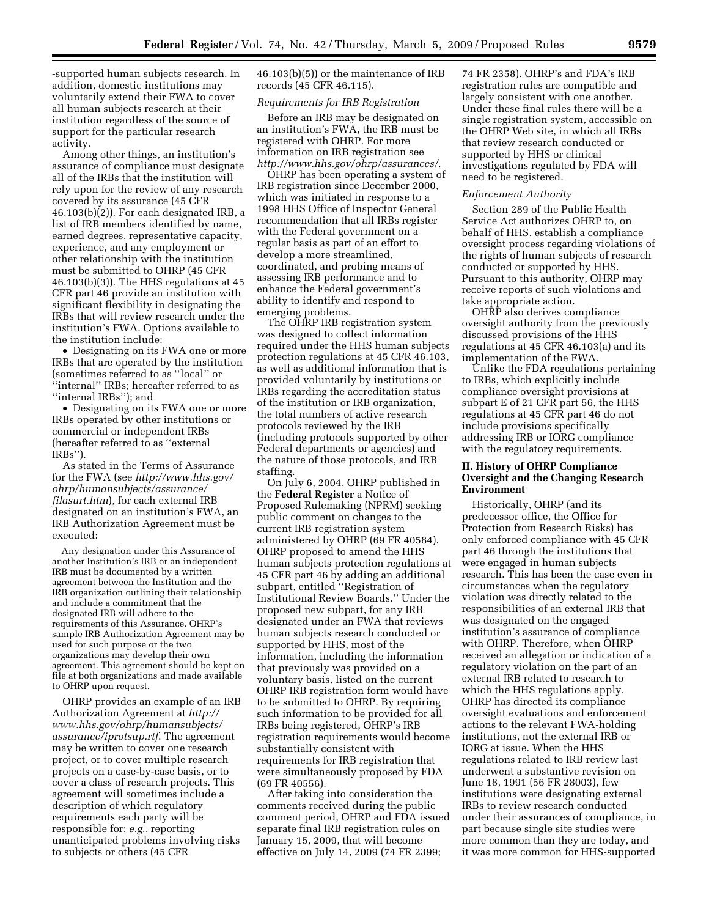-supported human subjects research. In addition, domestic institutions may voluntarily extend their FWA to cover all human subjects research at their institution regardless of the source of support for the particular research activity.

Among other things, an institution's assurance of compliance must designate all of the IRBs that the institution will rely upon for the review of any research covered by its assurance (45 CFR 46.103(b)(2)). For each designated IRB, a list of IRB members identified by name, earned degrees, representative capacity, experience, and any employment or other relationship with the institution must be submitted to OHRP (45 CFR 46.103(b)(3)). The HHS regulations at 45 CFR part 46 provide an institution with significant flexibility in designating the IRBs that will review research under the institution's FWA. Options available to the institution include:

• Designating on its FWA one or more IRBs that are operated by the institution (sometimes referred to as ''local'' or ''internal'' IRBs; hereafter referred to as ''internal IRBs''); and

• Designating on its FWA one or more IRBs operated by other institutions or commercial or independent IRBs (hereafter referred to as ''external IRBs'').

As stated in the Terms of Assurance for the FWA (see *http://www.hhs.gov/ ohrp/humansubjects/assurance/ filasurt.htm*), for each external IRB designated on an institution's FWA, an IRB Authorization Agreement must be executed:

Any designation under this Assurance of another Institution's IRB or an independent IRB must be documented by a written agreement between the Institution and the IRB organization outlining their relationship and include a commitment that the designated IRB will adhere to the requirements of this Assurance. OHRP's sample IRB Authorization Agreement may be used for such purpose or the two organizations may develop their own agreement. This agreement should be kept on file at both organizations and made available to OHRP upon request.

OHRP provides an example of an IRB Authorization Agreement at *http:// www.hhs.gov/ohrp/humansubjects/ assurance/iprotsup.rtf*. The agreement may be written to cover one research project, or to cover multiple research projects on a case-by-case basis, or to cover a class of research projects. This agreement will sometimes include a description of which regulatory requirements each party will be responsible for; *e.g.*, reporting unanticipated problems involving risks to subjects or others (45 CFR

46.103(b)(5)) or the maintenance of IRB records (45 CFR 46.115).

# *Requirements for IRB Registration*

Before an IRB may be designated on an institution's FWA, the IRB must be registered with OHRP. For more information on IRB registration see *http://www.hhs.gov/ohrp/assurances/*.

OHRP has been operating a system of IRB registration since December 2000, which was initiated in response to a 1998 HHS Office of Inspector General recommendation that all IRBs register with the Federal government on a regular basis as part of an effort to develop a more streamlined, coordinated, and probing means of assessing IRB performance and to enhance the Federal government's ability to identify and respond to emerging problems.

The OHRP IRB registration system was designed to collect information required under the HHS human subjects protection regulations at 45 CFR 46.103, as well as additional information that is provided voluntarily by institutions or IRBs regarding the accreditation status of the institution or IRB organization, the total numbers of active research protocols reviewed by the IRB (including protocols supported by other Federal departments or agencies) and the nature of those protocols, and IRB staffing.

On July 6, 2004, OHRP published in the **Federal Register** a Notice of Proposed Rulemaking (NPRM) seeking public comment on changes to the current IRB registration system administered by OHRP (69 FR 40584). OHRP proposed to amend the HHS human subjects protection regulations at 45 CFR part 46 by adding an additional subpart, entitled ''Registration of Institutional Review Boards.'' Under the proposed new subpart, for any IRB designated under an FWA that reviews human subjects research conducted or supported by HHS, most of the information, including the information that previously was provided on a voluntary basis, listed on the current OHRP IRB registration form would have to be submitted to OHRP. By requiring such information to be provided for all IRBs being registered, OHRP's IRB registration requirements would become substantially consistent with requirements for IRB registration that were simultaneously proposed by FDA (69 FR 40556).

After taking into consideration the comments received during the public comment period, OHRP and FDA issued separate final IRB registration rules on January 15, 2009, that will become effective on July 14, 2009 (74 FR 2399;

74 FR 2358). OHRP's and FDA's IRB registration rules are compatible and largely consistent with one another. Under these final rules there will be a single registration system, accessible on the OHRP Web site, in which all IRBs that review research conducted or supported by HHS or clinical investigations regulated by FDA will need to be registered.

#### *Enforcement Authority*

Section 289 of the Public Health Service Act authorizes OHRP to, on behalf of HHS, establish a compliance oversight process regarding violations of the rights of human subjects of research conducted or supported by HHS. Pursuant to this authority, OHRP may receive reports of such violations and take appropriate action.

OHRP also derives compliance oversight authority from the previously discussed provisions of the HHS regulations at 45 CFR 46.103(a) and its implementation of the FWA.

Unlike the FDA regulations pertaining to IRBs, which explicitly include compliance oversight provisions at subpart E of 21 CFR part 56, the HHS regulations at 45 CFR part 46 do not include provisions specifically addressing IRB or IORG compliance with the regulatory requirements.

### **II. History of OHRP Compliance Oversight and the Changing Research Environment**

Historically, OHRP (and its predecessor office, the Office for Protection from Research Risks) has only enforced compliance with 45 CFR part 46 through the institutions that were engaged in human subjects research. This has been the case even in circumstances when the regulatory violation was directly related to the responsibilities of an external IRB that was designated on the engaged institution's assurance of compliance with OHRP. Therefore, when OHRP received an allegation or indication of a regulatory violation on the part of an external IRB related to research to which the HHS regulations apply, OHRP has directed its compliance oversight evaluations and enforcement actions to the relevant FWA-holding institutions, not the external IRB or IORG at issue. When the HHS regulations related to IRB review last underwent a substantive revision on June 18, 1991 (56 FR 28003), few institutions were designating external IRBs to review research conducted under their assurances of compliance, in part because single site studies were more common than they are today, and it was more common for HHS-supported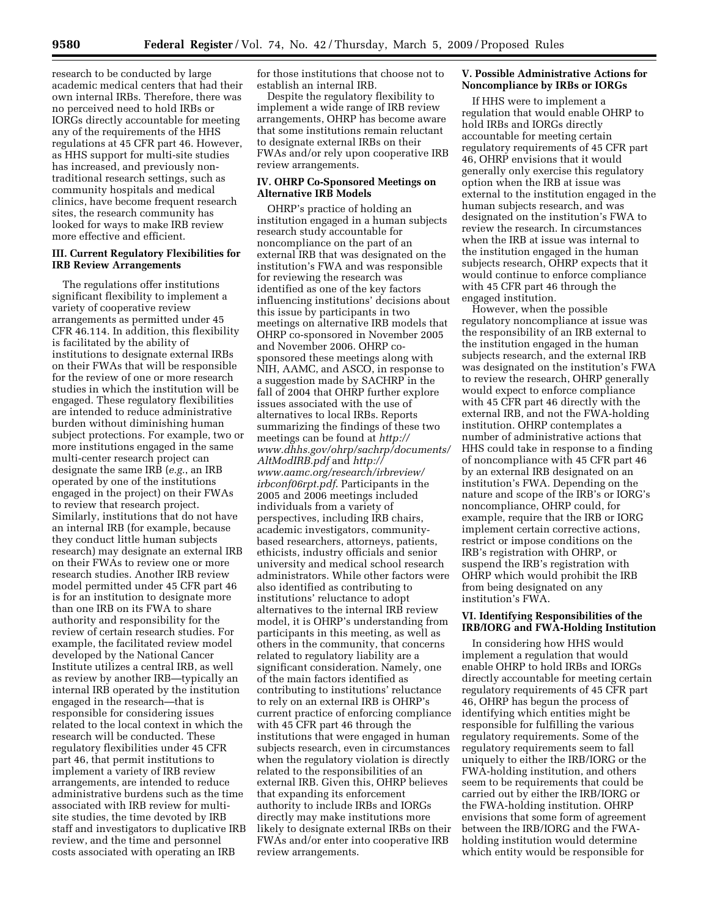research to be conducted by large academic medical centers that had their own internal IRBs. Therefore, there was no perceived need to hold IRBs or IORGs directly accountable for meeting any of the requirements of the HHS regulations at 45 CFR part 46. However, as HHS support for multi-site studies has increased, and previously nontraditional research settings, such as community hospitals and medical clinics, have become frequent research sites, the research community has looked for ways to make IRB review more effective and efficient.

# **III. Current Regulatory Flexibilities for IRB Review Arrangements**

The regulations offer institutions significant flexibility to implement a variety of cooperative review arrangements as permitted under 45 CFR 46.114. In addition, this flexibility is facilitated by the ability of institutions to designate external IRBs on their FWAs that will be responsible for the review of one or more research studies in which the institution will be engaged. These regulatory flexibilities are intended to reduce administrative burden without diminishing human subject protections. For example, two or more institutions engaged in the same multi-center research project can designate the same IRB (*e.g.*, an IRB operated by one of the institutions engaged in the project) on their FWAs to review that research project. Similarly, institutions that do not have an internal IRB (for example, because they conduct little human subjects research) may designate an external IRB on their FWAs to review one or more research studies. Another IRB review model permitted under 45 CFR part 46 is for an institution to designate more than one IRB on its FWA to share authority and responsibility for the review of certain research studies. For example, the facilitated review model developed by the National Cancer Institute utilizes a central IRB, as well as review by another IRB—typically an internal IRB operated by the institution engaged in the research—that is responsible for considering issues related to the local context in which the research will be conducted. These regulatory flexibilities under 45 CFR part 46, that permit institutions to implement a variety of IRB review arrangements, are intended to reduce administrative burdens such as the time associated with IRB review for multisite studies, the time devoted by IRB staff and investigators to duplicative IRB review, and the time and personnel costs associated with operating an IRB

for those institutions that choose not to establish an internal IRB.

Despite the regulatory flexibility to implement a wide range of IRB review arrangements, OHRP has become aware that some institutions remain reluctant to designate external IRBs on their FWAs and/or rely upon cooperative IRB review arrangements.

# **IV. OHRP Co-Sponsored Meetings on Alternative IRB Models**

OHRP's practice of holding an institution engaged in a human subjects research study accountable for noncompliance on the part of an external IRB that was designated on the institution's FWA and was responsible for reviewing the research was identified as one of the key factors influencing institutions' decisions about this issue by participants in two meetings on alternative IRB models that OHRP co-sponsored in November 2005 and November 2006. OHRP cosponsored these meetings along with NIH, AAMC, and ASCO, in response to a suggestion made by SACHRP in the fall of 2004 that OHRP further explore issues associated with the use of alternatives to local IRBs. Reports summarizing the findings of these two meetings can be found at *http:// www.dhhs.gov/ohrp/sachrp/documents/ AltModIRB.pdf* and *http:// www.aamc.org/research/irbreview/ irbconf06rpt.pdf*. Participants in the 2005 and 2006 meetings included individuals from a variety of perspectives, including IRB chairs, academic investigators, communitybased researchers, attorneys, patients, ethicists, industry officials and senior university and medical school research administrators. While other factors were also identified as contributing to institutions' reluctance to adopt alternatives to the internal IRB review model, it is OHRP's understanding from participants in this meeting, as well as others in the community, that concerns related to regulatory liability are a significant consideration. Namely, one of the main factors identified as contributing to institutions' reluctance to rely on an external IRB is OHRP's current practice of enforcing compliance with 45 CFR part 46 through the institutions that were engaged in human subjects research, even in circumstances when the regulatory violation is directly related to the responsibilities of an external IRB. Given this, OHRP believes that expanding its enforcement authority to include IRBs and IORGs directly may make institutions more likely to designate external IRBs on their FWAs and/or enter into cooperative IRB review arrangements.

# **V. Possible Administrative Actions for Noncompliance by IRBs or IORGs**

If HHS were to implement a regulation that would enable OHRP to hold IRBs and IORGs directly accountable for meeting certain regulatory requirements of 45 CFR part 46, OHRP envisions that it would generally only exercise this regulatory option when the IRB at issue was external to the institution engaged in the human subjects research, and was designated on the institution's FWA to review the research. In circumstances when the IRB at issue was internal to the institution engaged in the human subjects research, OHRP expects that it would continue to enforce compliance with 45 CFR part 46 through the engaged institution.

However, when the possible regulatory noncompliance at issue was the responsibility of an IRB external to the institution engaged in the human subjects research, and the external IRB was designated on the institution's FWA to review the research, OHRP generally would expect to enforce compliance with 45 CFR part 46 directly with the external IRB, and not the FWA-holding institution. OHRP contemplates a number of administrative actions that HHS could take in response to a finding of noncompliance with 45 CFR part 46 by an external IRB designated on an institution's FWA. Depending on the nature and scope of the IRB's or IORG's noncompliance, OHRP could, for example, require that the IRB or IORG implement certain corrective actions, restrict or impose conditions on the IRB's registration with OHRP, or suspend the IRB's registration with OHRP which would prohibit the IRB from being designated on any institution's FWA.

#### **VI. Identifying Responsibilities of the IRB/IORG and FWA-Holding Institution**

In considering how HHS would implement a regulation that would enable OHRP to hold IRBs and IORGs directly accountable for meeting certain regulatory requirements of 45 CFR part 46, OHRP has begun the process of identifying which entities might be responsible for fulfilling the various regulatory requirements. Some of the regulatory requirements seem to fall uniquely to either the IRB/IORG or the FWA-holding institution, and others seem to be requirements that could be carried out by either the IRB/IORG or the FWA-holding institution. OHRP envisions that some form of agreement between the IRB/IORG and the FWAholding institution would determine which entity would be responsible for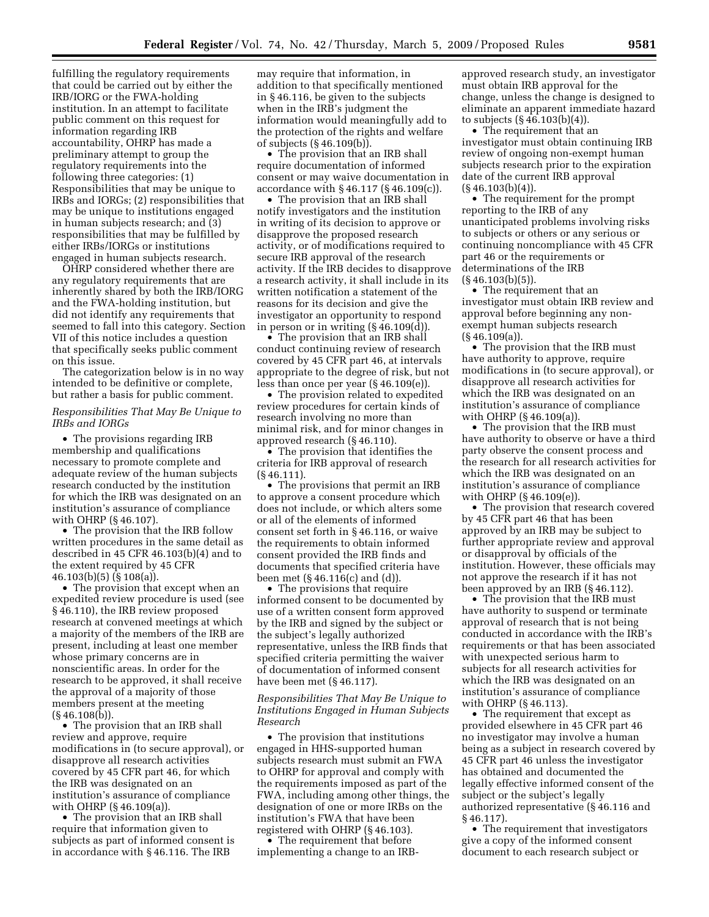fulfilling the regulatory requirements that could be carried out by either the IRB/IORG or the FWA-holding institution. In an attempt to facilitate public comment on this request for information regarding IRB accountability, OHRP has made a preliminary attempt to group the regulatory requirements into the following three categories: (1) Responsibilities that may be unique to IRBs and IORGs; (2) responsibilities that may be unique to institutions engaged in human subjects research; and (3) responsibilities that may be fulfilled by either IRBs/IORGs or institutions engaged in human subjects research.

OHRP considered whether there are any regulatory requirements that are inherently shared by both the IRB/IORG and the FWA-holding institution, but did not identify any requirements that seemed to fall into this category. Section VII of this notice includes a question that specifically seeks public comment on this issue.

The categorization below is in no way intended to be definitive or complete, but rather a basis for public comment.

### *Responsibilities That May Be Unique to IRBs and IORGs*

• The provisions regarding IRB membership and qualifications necessary to promote complete and adequate review of the human subjects research conducted by the institution for which the IRB was designated on an institution's assurance of compliance with OHRP (§ 46.107).

• The provision that the IRB follow written procedures in the same detail as described in 45 CFR 46.103(b)(4) and to the extent required by 45 CFR 46.103(b)(5) (§ 108(a)).

• The provision that except when an expedited review procedure is used (see § 46.110), the IRB review proposed research at convened meetings at which a majority of the members of the IRB are present, including at least one member whose primary concerns are in nonscientific areas. In order for the research to be approved, it shall receive the approval of a majority of those members present at the meeting (§ 46.108(b)).

• The provision that an IRB shall review and approve, require modifications in (to secure approval), or disapprove all research activities covered by 45 CFR part 46, for which the IRB was designated on an institution's assurance of compliance with OHRP (§ 46.109(a)).

• The provision that an IRB shall require that information given to subjects as part of informed consent is in accordance with § 46.116. The IRB

may require that information, in addition to that specifically mentioned in § 46.116, be given to the subjects when in the IRB's judgment the information would meaningfully add to the protection of the rights and welfare of subjects (§ 46.109(b)).

• The provision that an IRB shall require documentation of informed consent or may waive documentation in accordance with § 46.117 (§ 46.109(c)).

• The provision that an IRB shall notify investigators and the institution in writing of its decision to approve or disapprove the proposed research activity, or of modifications required to secure IRB approval of the research activity. If the IRB decides to disapprove a research activity, it shall include in its written notification a statement of the reasons for its decision and give the investigator an opportunity to respond in person or in writing (§ 46.109(d)).

• The provision that an IRB shall conduct continuing review of research covered by 45 CFR part 46, at intervals appropriate to the degree of risk, but not less than once per year (§ 46.109(e)).

• The provision related to expedited review procedures for certain kinds of research involving no more than minimal risk, and for minor changes in approved research (§ 46.110).

• The provision that identifies the criteria for IRB approval of research (§ 46.111).

• The provisions that permit an IRB to approve a consent procedure which does not include, or which alters some or all of the elements of informed consent set forth in § 46.116, or waive the requirements to obtain informed consent provided the IRB finds and documents that specified criteria have been met (§ 46.116(c) and (d)).

• The provisions that require informed consent to be documented by use of a written consent form approved by the IRB and signed by the subject or the subject's legally authorized representative, unless the IRB finds that specified criteria permitting the waiver of documentation of informed consent have been met (§ 46.117).

### *Responsibilities That May Be Unique to Institutions Engaged in Human Subjects Research*

• The provision that institutions engaged in HHS-supported human subjects research must submit an FWA to OHRP for approval and comply with the requirements imposed as part of the FWA, including among other things, the designation of one or more IRBs on the institution's FWA that have been registered with OHRP (§ 46.103).

• The requirement that before implementing a change to an IRB- approved research study, an investigator must obtain IRB approval for the change, unless the change is designed to eliminate an apparent immediate hazard to subjects  $(\S 46.103(b)(4))$ .

• The requirement that an investigator must obtain continuing IRB review of ongoing non-exempt human subjects research prior to the expiration date of the current IRB approval  $(S\,46.103(b)(4)).$ 

• The requirement for the prompt reporting to the IRB of any unanticipated problems involving risks to subjects or others or any serious or continuing noncompliance with 45 CFR part 46 or the requirements or determinations of the IRB  $(S\,46.103(b)(5))$ .

• The requirement that an investigator must obtain IRB review and approval before beginning any nonexempt human subjects research (§ 46.109(a)).

• The provision that the IRB must have authority to approve, require modifications in (to secure approval), or disapprove all research activities for which the IRB was designated on an institution's assurance of compliance with OHRP (§ 46.109(a)).

• The provision that the IRB must have authority to observe or have a third party observe the consent process and the research for all research activities for which the IRB was designated on an institution's assurance of compliance with OHRP (§ 46.109(e)).

• The provision that research covered by 45 CFR part 46 that has been approved by an IRB may be subject to further appropriate review and approval or disapproval by officials of the institution. However, these officials may not approve the research if it has not been approved by an IRB (§ 46.112).

• The provision that the IRB must have authority to suspend or terminate approval of research that is not being conducted in accordance with the IRB's requirements or that has been associated with unexpected serious harm to subjects for all research activities for which the IRB was designated on an institution's assurance of compliance with OHRP (§ 46.113).

• The requirement that except as provided elsewhere in 45 CFR part 46 no investigator may involve a human being as a subject in research covered by 45 CFR part 46 unless the investigator has obtained and documented the legally effective informed consent of the subject or the subject's legally authorized representative (§ 46.116 and § 46.117).

• The requirement that investigators give a copy of the informed consent document to each research subject or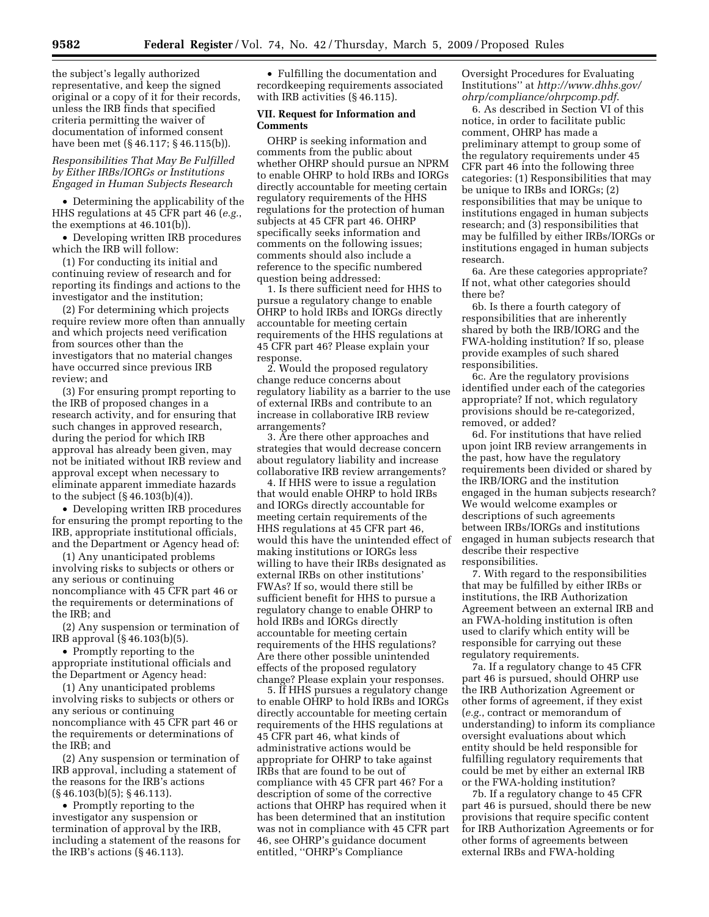the subject's legally authorized representative, and keep the signed original or a copy of it for their records, unless the IRB finds that specified criteria permitting the waiver of documentation of informed consent have been met (§ 46.117; § 46.115(b)).

### *Responsibilities That May Be Fulfilled by Either IRBs/IORGs or Institutions Engaged in Human Subjects Research*

• Determining the applicability of the HHS regulations at 45 CFR part 46 (*e.g.*, the exemptions at 46.101(b)).

• Developing written IRB procedures which the IRB will follow:

(1) For conducting its initial and continuing review of research and for reporting its findings and actions to the investigator and the institution;

(2) For determining which projects require review more often than annually and which projects need verification from sources other than the investigators that no material changes have occurred since previous IRB review; and

(3) For ensuring prompt reporting to the IRB of proposed changes in a research activity, and for ensuring that such changes in approved research, during the period for which IRB approval has already been given, may not be initiated without IRB review and approval except when necessary to eliminate apparent immediate hazards to the subject (§ 46.103(b)(4)).

• Developing written IRB procedures for ensuring the prompt reporting to the IRB, appropriate institutional officials, and the Department or Agency head of:

(1) Any unanticipated problems involving risks to subjects or others or any serious or continuing noncompliance with 45 CFR part 46 or the requirements or determinations of the IRB; and

(2) Any suspension or termination of IRB approval (§ 46.103(b)(5).

• Promptly reporting to the appropriate institutional officials and the Department or Agency head:

(1) Any unanticipated problems involving risks to subjects or others or any serious or continuing noncompliance with 45 CFR part 46 or the requirements or determinations of the IRB; and

(2) Any suspension or termination of IRB approval, including a statement of the reasons for the IRB's actions (§ 46.103(b)(5); § 46.113).

• Promptly reporting to the investigator any suspension or termination of approval by the IRB, including a statement of the reasons for the IRB's actions (§ 46.113).

• Fulfilling the documentation and recordkeeping requirements associated with IRB activities (§ 46.115).

# **VII. Request for Information and Comments**

OHRP is seeking information and comments from the public about whether OHRP should pursue an NPRM to enable OHRP to hold IRBs and IORGs directly accountable for meeting certain regulatory requirements of the HHS regulations for the protection of human subjects at 45 CFR part 46. OHRP specifically seeks information and comments on the following issues; comments should also include a reference to the specific numbered question being addressed:

1. Is there sufficient need for HHS to pursue a regulatory change to enable OHRP to hold IRBs and IORGs directly accountable for meeting certain requirements of the HHS regulations at 45 CFR part 46? Please explain your response.

2. Would the proposed regulatory change reduce concerns about regulatory liability as a barrier to the use of external IRBs and contribute to an increase in collaborative IRB review arrangements?

3. Are there other approaches and strategies that would decrease concern about regulatory liability and increase collaborative IRB review arrangements?

4. If HHS were to issue a regulation that would enable OHRP to hold IRBs and IORGs directly accountable for meeting certain requirements of the HHS regulations at 45 CFR part 46, would this have the unintended effect of making institutions or IORGs less willing to have their IRBs designated as external IRBs on other institutions' FWAs? If so, would there still be sufficient benefit for HHS to pursue a regulatory change to enable OHRP to hold IRBs and IORGs directly accountable for meeting certain requirements of the HHS regulations? Are there other possible unintended effects of the proposed regulatory change? Please explain your responses.

5. If HHS pursues a regulatory change to enable OHRP to hold IRBs and IORGs directly accountable for meeting certain requirements of the HHS regulations at 45 CFR part 46, what kinds of administrative actions would be appropriate for OHRP to take against IRBs that are found to be out of compliance with 45 CFR part 46? For a description of some of the corrective actions that OHRP has required when it has been determined that an institution was not in compliance with 45 CFR part 46, see OHRP's guidance document entitled, ''OHRP's Compliance

Oversight Procedures for Evaluating Institutions'' at *http://www.dhhs.gov/ ohrp/compliance/ohrpcomp.pdf*.

6. As described in Section VI of this notice, in order to facilitate public comment, OHRP has made a preliminary attempt to group some of the regulatory requirements under 45 CFR part 46 into the following three categories: (1) Responsibilities that may be unique to IRBs and IORGs; (2) responsibilities that may be unique to institutions engaged in human subjects research; and (3) responsibilities that may be fulfilled by either IRBs/IORGs or institutions engaged in human subjects research.

6a. Are these categories appropriate? If not, what other categories should there be?

6b. Is there a fourth category of responsibilities that are inherently shared by both the IRB/IORG and the FWA-holding institution? If so, please provide examples of such shared responsibilities.

6c. Are the regulatory provisions identified under each of the categories appropriate? If not, which regulatory provisions should be re-categorized, removed, or added?

6d. For institutions that have relied upon joint IRB review arrangements in the past, how have the regulatory requirements been divided or shared by the IRB/IORG and the institution engaged in the human subjects research? We would welcome examples or descriptions of such agreements between IRBs/IORGs and institutions engaged in human subjects research that describe their respective responsibilities.

7. With regard to the responsibilities that may be fulfilled by either IRBs or institutions, the IRB Authorization Agreement between an external IRB and an FWA-holding institution is often used to clarify which entity will be responsible for carrying out these regulatory requirements.

7a. If a regulatory change to 45 CFR part 46 is pursued, should OHRP use the IRB Authorization Agreement or other forms of agreement, if they exist (*e.g.*, contract or memorandum of understanding) to inform its compliance oversight evaluations about which entity should be held responsible for fulfilling regulatory requirements that could be met by either an external IRB or the FWA-holding institution?

7b. If a regulatory change to 45 CFR part 46 is pursued, should there be new provisions that require specific content for IRB Authorization Agreements or for other forms of agreements between external IRBs and FWA-holding